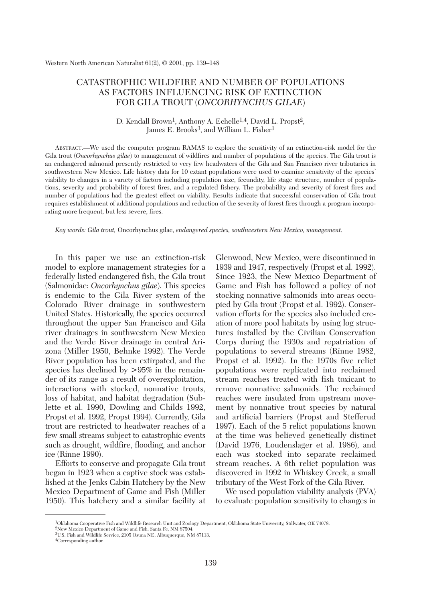# CATASTROPHIC WILDFIRE AND NUMBER OF POPULATIONS AS FACTORS INFLUENCING RISK OF EXTINCTION FOR GILA TROUT (*ONCORHYNCHUS GILAE*)

## D. Kendall Brown<sup>1</sup>, Anthony A. Echelle<sup>1,4</sup>, David L. Propst<sup>2</sup>, James E. Brooks<sup>3</sup>, and William L. Fisher<sup>1</sup>

ABSTRACT.—We used the computer program RAMAS to explore the sensitivity of an extinction-risk model for the Gila trout (*Oncorhynchus gilae*) to management of wildfires and number of populations of the species. The Gila trout is an endangered salmonid presently restricted to very few headwaters of the Gila and San Francisco river tributaries in southwestern New Mexico. Life history data for 10 extant populations were used to examine sensitivity of the species' viability to changes in a variety of factors including population size, fecundity, life stage structure, number of populations, severity and probability of forest fires, and a regulated fishery. The probability and severity of forest fires and number of populations had the greatest effect on viability. Results indicate that successful conservation of Gila trout requires establishment of additional populations and reduction of the severity of forest fires through a program incorporating more frequent, but less severe, fires.

*Key words: Gila trout,* Oncorhynchus gilae, *endangered species, southwestern New Mexico, management.*

In this paper we use an extinction-risk model to explore management strategies for a federally listed endangered fish, the Gila trout (Salmonidae: *Oncorhynchus gilae*). This species is endemic to the Gila River system of the Colorado River drainage in southwestern United States. Historically, the species occurred throughout the upper San Francisco and Gila river drainages in southwestern New Mexico and the Verde River drainage in central Arizona (Miller 1950, Behnke 1992). The Verde River population has been extirpated, and the species has declined by  $> 95\%$  in the remainder of its range as a result of overexploitation, interactions with stocked, nonnative trouts, loss of habitat, and habitat degradation (Sublette et al. 1990, Dowling and Childs 1992, Propst et al. 1992, Propst 1994). Currently, Gila trout are restricted to headwater reaches of a few small streams subject to catastrophic events such as drought, wildfire, flooding, and anchor ice (Rinne 1990).

Efforts to conserve and propagate Gila trout began in 1923 when a captive stock was established at the Jenks Cabin Hatchery by the New Mexico Department of Game and Fish (Miller 1950). This hatchery and a similar facility at

Glenwood, New Mexico, were discontinued in 1939 and 1947, respectively (Propst et al. 1992). Since 1923, the New Mexico Department of Game and Fish has followed a policy of not stocking nonnative salmonids into areas occupied by Gila trout (Propst et al. 1992). Conservation efforts for the species also included creation of more pool habitats by using log structures installed by the Civilian Conservation Corps during the 1930s and repatriation of populations to several streams (Rinne 1982, Propst et al. 1992). In the 1970s five relict populations were replicated into reclaimed stream reaches treated with fish toxicant to remove nonnative salmonids. The reclaimed reaches were insulated from upstream movement by nonnative trout species by natural and artificial barriers (Propst and Stefferud 1997). Each of the 5 relict populations known at the time was believed genetically distinct (David 1976, Loudenslager et al. 1986), and each was stocked into separate reclaimed stream reaches. A 6th relict population was discovered in 1992 in Whiskey Creek, a small tributary of the West Fork of the Gila River.

We used population viability analysis (PVA) to evaluate population sensitivity to changes in

<sup>1</sup>Oklahoma Cooperative Fish and Wildlife Research Unit and Zoology Department, Oklahoma State University, Stillwater, OK 74078.

<sup>2</sup>New Mexico Department of Game and Fish, Santa Fe, NM 87504.

<sup>3</sup>U.S. Fish and Wildlife Service, 2105 Osuna NE, Albuquerque, NM 87113. 4Corresponding author.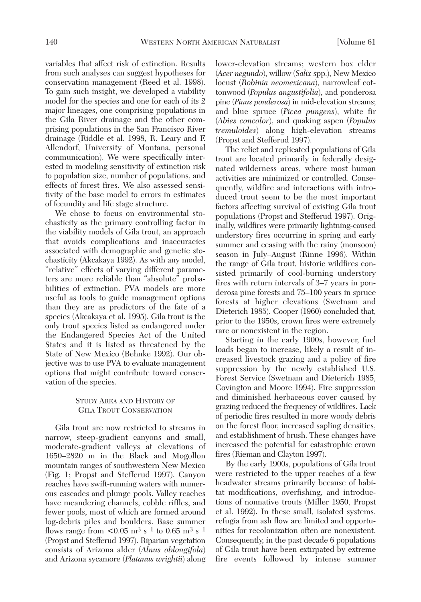variables that affect risk of extinction. Results from such analyses can suggest hypotheses for conservation management (Reed et al. 1998). To gain such insight, we developed a viability model for the species and one for each of its 2 major lineages, one comprising populations in the Gila River drainage and the other comprising populations in the San Francisco River drainage (Riddle et al. 1998, R. Leary and F. Allendorf, University of Montana, personal communication). We were specifically interested in modeling sensitivity of extinction risk to population size, number of populations, and effects of forest fires. We also assessed sensitivity of the base model to errors in estimates of fecundity and life stage structure.

We chose to focus on environmental stochasticity as the primary controlling factor in the viability models of Gila trout, an approach that avoids complications and inaccuracies associated with demographic and genetic stochasticity (Akcakaya 1992). As with any model, "relative" effects of varying different parameters are more reliable than "absolute" probabilities of extinction. PVA models are more useful as tools to guide management options than they are as predictors of the fate of a species (Akcakaya et al. 1995). Gila trout is the only trout species listed as endangered under the Endangered Species Act of the United States and it is listed as threatened by the State of New Mexico (Behnke 1992). Our objective was to use PVA to evaluate management options that might contribute toward conservation of the species.

## STUDY AREA AND HISTORY OF GILA TROUT CONSERVATION

Gila trout are now restricted to streams in narrow, steep-gradient canyons and small, moderate-gradient valleys at elevations of 1650–2820 m in the Black and Mogollon mountain ranges of southwestern New Mexico (Fig. 1; Propst and Stefferud 1997). Canyon reaches have swift-running waters with numerous cascades and plunge pools. Valley reaches have meandering channels, cobble riffles, and fewer pools, most of which are formed around log-debris piles and boulders. Base summer flows range from  $\leq 0.05$  m<sup>3</sup> s<sup>-1</sup> to 0.65 m<sup>3</sup> s<sup>-1</sup> (Propst and Stefferud 1997). Riparian vegetation consists of Arizona alder (*Alnus oblongifola*) and Arizona sycamore (*Platanus wrightii*) along

lower-elevation streams; western box elder (*Acer negundo*), willow (*Salix* spp.), New Mexico locust (*Robinia neomexicana*), narrowleaf cottonwood (*Populus angustifolia*), and ponderosa pine (*Pinus ponderosa*) in mid-elevation streams; and blue spruce (*Picea pungens*), white fir (*Abies concolor*), and quaking aspen (*Populus tremuloides*) along high-elevation streams (Propst and Stefferud 1997).

The relict and replicated populations of Gila trout are located primarily in federally designated wilderness areas, where most human activities are minimized or controlled. Consequently, wildfire and interactions with introduced trout seem to be the most important factors affecting survival of existing Gila trout populations (Propst and Stefferud 1997). Originally, wildfires were primarily lightning-caused understory fires occurring in spring and early summer and ceasing with the rainy (monsoon) season in July–August (Rinne 1996). Within the range of Gila trout, historic wildfires consisted primarily of cool-burning understory fires with return intervals of 3–7 years in ponderosa pine forests and 75–100 years in spruce forests at higher elevations (Swetnam and Dieterich 1985). Cooper (1960) concluded that, prior to the 1950s, crown fires were extremely rare or nonexistent in the region.

Starting in the early 1900s, however, fuel loads began to increase, likely a result of increased livestock grazing and a policy of fire suppression by the newly established U.S. Forest Service (Swetnam and Dieterich 1985, Covington and Moore 1994). Fire suppression and diminished herbaceous cover caused by grazing reduced the frequency of wildfires. Lack of periodic fires resulted in more woody debris on the forest floor, increased sapling densities, and establishment of brush. These changes have increased the potential for catastrophic crown fires (Rieman and Clayton 1997).

By the early 1900s, populations of Gila trout were restricted to the upper reaches of a few headwater streams primarily because of habitat modifications, overfishing, and introductions of nonnative trouts (Miller 1950, Propst et al. 1992). In these small, isolated systems, refugia from ash flow are limited and opportunities for recolonization often are nonexistent. Consequently, in the past decade 6 populations of Gila trout have been extirpated by extreme fire events followed by intense summer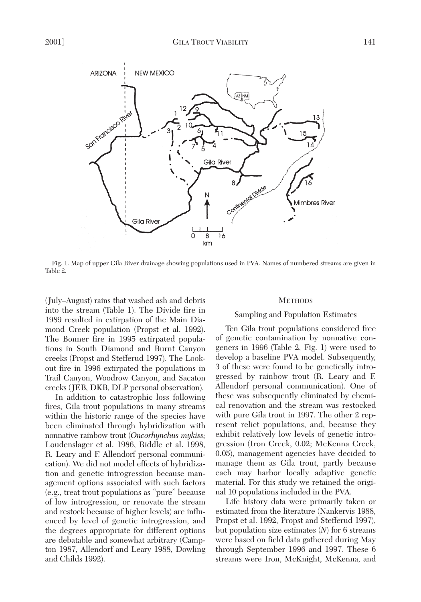

Fig. 1. Map of upper Gila River drainage showing populations used in PVA. Names of numbered streams are given in Table 2.

(July–August) rains that washed ash and debris into the stream (Table 1). The Divide fire in 1989 resulted in extirpation of the Main Diamond Creek population (Propst et al. 1992). The Bonner fire in 1995 extirpated populations in South Diamond and Burnt Canyon creeks (Propst and Stefferud 1997). The Lookout fire in 1996 extirpated the populations in Trail Canyon, Woodrow Canyon, and Sacaton creeks (JEB, DKB, DLP personal observation).

In addition to catastrophic loss following fires, Gila trout populations in many streams within the historic range of the species have been eliminated through hybridization with nonnative rainbow trout (*Oncorhynchus mykiss;* Loudenslager et al. 1986, Riddle et al. 1998, R. Leary and F. Allendorf personal communication). We did not model effects of hybridization and genetic introgression because management options associated with such factors (e.g., treat trout populations as "pure" because of low introgression, or renovate the stream and restock because of higher levels) are influenced by level of genetic introgression, and the degrees appropriate for different options are debatable and somewhat arbitrary (Campton 1987, Allendorf and Leary 1988, Dowling and Childs 1992).

### **METHODS**

### Sampling and Population Estimates

Ten Gila trout populations considered free of genetic contamination by nonnative congeners in 1996 (Table 2, Fig. 1) were used to develop a baseline PVA model. Subsequently, 3 of these were found to be genetically introgressed by rainbow trout (R. Leary and F. Allendorf personal communication). One of these was subsequently eliminated by chemical renovation and the stream was restocked with pure Gila trout in 1997. The other 2 represent relict populations, and, because they exhibit relatively low levels of genetic introgression (Iron Creek, 0.02; McKenna Creek, 0.05), management agencies have decided to manage them as Gila trout, partly because each may harbor locally adaptive genetic material. For this study we retained the original 10 populations included in the PVA.

Life history data were primarily taken or estimated from the literature (Nankervis 1988, Propst et al. 1992, Propst and Stefferud 1997), but population size estimates (*N*) for 6 streams were based on field data gathered during May through September 1996 and 1997. These 6 streams were Iron, McKnight, McKenna, and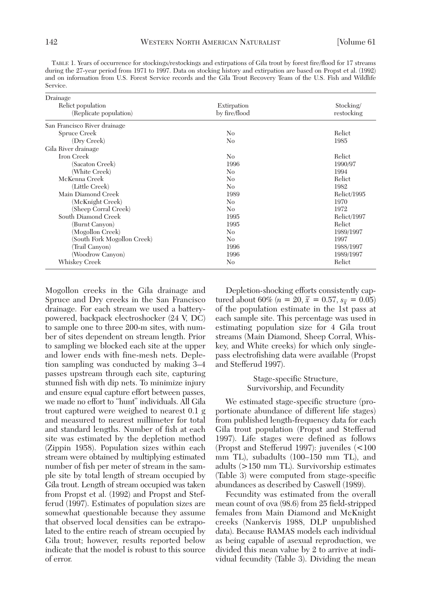TABLE 1. Years of occurrence for stockings/restockings and extirpations of Gila trout by forest fire/flood for 17 streams during the 27-year period from 1971 to 1997. Data on stocking history and extirpation are based on Propst et al. (1992) and on information from U.S. Forest Service records and the Gila Trout Recovery Team of the U.S. Fish and Wildlife Service.

| Drainage                     |                |             |
|------------------------------|----------------|-------------|
| Relict population            | Extirpation    | Stocking/   |
| (Replicate population)       | by fire/flood  | restocking  |
| San Francisco River drainage |                |             |
| Spruce Creek                 | No             | Relict      |
| (Dry Creek)                  | N <sub>0</sub> | 1985        |
| Gila River drainage          |                |             |
| Iron Creek                   | No             | Relict      |
| (Sacaton Creek)              | 1996           | 1990/97     |
| (White Creek)                | No             | 1994        |
| McKenna Creek                | N <sub>0</sub> | Relict      |
| (Little Creek)               | No             | 1982        |
| Main Diamond Creek           | 1989           | Relict/1995 |
| (McKnight Creek)             | N <sub>0</sub> | 1970        |
| (Sheep Corral Creek)         | N <sub>0</sub> | 1972        |
| South Diamond Creek          | 1995           | Relict/1997 |
| (Burnt Canyon)               | 1995           | Relict      |
| (Mogollon Creek)             | N <sub>0</sub> | 1989/1997   |
| (South Fork Mogollon Creek)  | N <sub>0</sub> | 1997        |
| (Trail Canyon)               | 1996           | 1988/1997   |
| (Woodrow Canyon)             | 1996           | 1989/1997   |
| Whiskey Creek                | N <sub>0</sub> | Relict      |

Mogollon creeks in the Gila drainage and Spruce and Dry creeks in the San Francisco drainage. For each stream we used a batterypowered, backpack electroshocker (24 V, DC) to sample one to three 200-m sites, with number of sites dependent on stream length. Prior to sampling we blocked each site at the upper and lower ends with fine-mesh nets. Depletion sampling was conducted by making 3–4 passes upstream through each site, capturing stunned fish with dip nets. To minimize injury and ensure equal capture effort between passes, we made no effort to "hunt" individuals. All Gila trout captured were weighed to nearest 0.1 g and measured to nearest millimeter for total and standard lengths. Number of fish at each site was estimated by the depletion method (Zippin 1958). Population sizes within each stream were obtained by multiplying estimated number of fish per meter of stream in the sample site by total length of stream occupied by Gila trout. Length of stream occupied was taken from Propst et al. (1992) and Propst and Stefferud (1997). Estimates of population sizes are somewhat questionable because they assume that observed local densities can be extrapolated to the entire reach of stream occupied by Gila trout; however, results reported below indicate that the model is robust to this source of error.

Depletion-shocking efforts consistently captured about 60% (*n* = 20,  $\bar{x}$  = 0.57,  $s_{\bar{x}}$  = 0.05) of the population estimate in the 1st pass at each sample site. This percentage was used in estimating population size for 4 Gila trout streams (Main Diamond, Sheep Corral, Whiskey, and White creeks) for which only singlepass electrofishing data were available (Propst and Stefferud 1997).

> Stage-specific Structure, Survivorship, and Fecundity

We estimated stage-specific structure (proportionate abundance of different life stages) from published length-frequency data for each Gila trout population (Propst and Stefferud 1997). Life stages were defined as follows (Propst and Stefferud 1997): juveniles (<100 mm TL), subadults (100–150 mm TL), and adults (>150 mm TL). Survivorship estimates (Table 3) were computed from stage-specific abundances as described by Caswell (1989).

Fecundity was estimated from the overall mean count of ova (98.6) from 25 field-stripped females from Main Diamond and McKnight creeks (Nankervis 1988, DLP unpublished data). Because RAMAS models each individual as being capable of asexual reproduction, we divided this mean value by 2 to arrive at individual fecundity (Table 3). Dividing the mean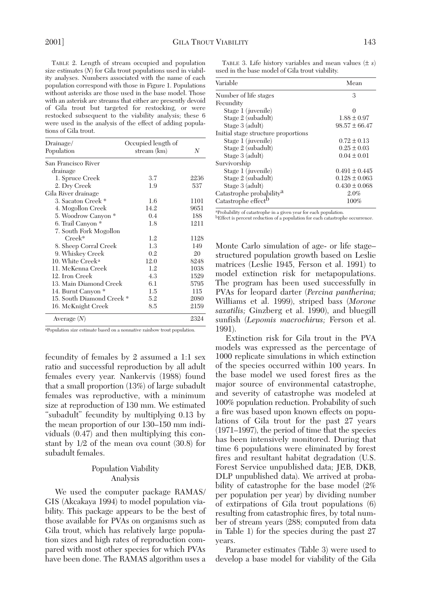TABLE 2. Length of stream occupied and population size estimates (*N*) for Gila trout populations used in viability analyses. Numbers associated with the name of each population correspond with those in Figure 1. Populations without asterisks are those used in the base model. Those with an asterisk are streams that either are presently devoid of Gila trout but targeted for restocking, or were restocked subsequent to the viability analysis; these 6 were used in the analysis of the effect of adding populations of Gila trout.

| Drainage/                    | Occupied length of |      |
|------------------------------|--------------------|------|
| Population                   | stream (km)        | N    |
| San Francisco River          |                    |      |
| drainage                     |                    |      |
| 1. Spruce Creek              | 3.7                | 2236 |
| 2. Dry Creek                 | 1.9                | 537  |
| Gila River drainage          |                    |      |
| 3. Sacaton Creek*            | 1.6                | 1101 |
| 4. Mogollon Creek            | 14.2               | 9651 |
| 5. Woodrow Canyon *          | 0.4                | 188  |
| 6. Trail Canyon *            | 1.8                | 1211 |
| 7. South Fork Mogollon       |                    |      |
| $Creek*$                     | 1.2                | 1128 |
| 8. Sheep Corral Creek        | 1.3                | 149  |
| 9. Whiskey Creek             | 0.2                | 20   |
| 10. White Creek <sup>a</sup> | 12.0               | 8248 |
| 11. McKenna Creek            | 1.2                | 1038 |
| 12. Iron Creek               | 4.3                | 1529 |
| 13. Main Diamond Creek       | 6.1                | 5795 |
| 14. Burnt Canyon *           | 1.5                | 115  |
| 15. South Diamond Creek*     | 5.2                | 2080 |
| 16. McKnight Creek           | 8.5                | 2159 |
| Average $(N)$                |                    | 2324 |

aPopulation size estimate based on a nonnative rainbow trout population.

fecundity of females by 2 assumed a 1:1 sex ratio and successful reproduction by all adult females every year. Nankervis (1988) found that a small proportion (13%) of large subadult females was reproductive, with a minimum size at reproduction of 130 mm. We estimated "subadult" fecundity by multiplying 0.13 by the mean proportion of our 130–150 mm individuals (0.47) and then multiplying this constant by 1/2 of the mean ova count (30.8) for subadult females.

## Population Viability Analysis

We used the computer package RAMAS/ GIS (Akcakaya 1994) to model population viability. This package appears to be the best of those available for PVAs on organisms such as Gila trout, which has relatively large population sizes and high rates of reproduction compared with most other species for which PVAs have been done. The RAMAS algorithm uses a

TABLE 3. Life history variables and mean values (± *s*) used in the base model of Gila trout viability.

| Variable                             | Mean              |
|--------------------------------------|-------------------|
| Number of life stages                | 3                 |
| Fecundity                            |                   |
| Stage 1 (juvenile)                   | 0                 |
| Stage 2 (subadult)                   | $1.88 \pm 0.97$   |
| Stage 3 (adult)                      | $98.57 \pm 66.47$ |
| Initial stage structure proportions  |                   |
| Stage 1 (juvenile)                   | $0.72 \pm 0.13$   |
| Stage 2 (subadult)                   | $0.25 \pm 0.03$   |
| Stage 3 (adult)                      | $0.04 \pm 0.01$   |
| Survivorship                         |                   |
| Stage 1 (juvenile)                   | $0.491 \pm 0.445$ |
| Stage 2 (subadult)                   | $0.128 \pm 0.063$ |
| Stage 3 (adult)                      | $0.430 \pm 0.068$ |
| Catastrophe probability <sup>a</sup> | 2.0%              |
| Catastrophe effect <sup>b</sup>      | 100%              |

aProbability of catastrophe in a given year for each population.

bEffect is percent reduction of a population for each catastrophe occurrence.

Monte Carlo simulation of age- or life stage– structured population growth based on Leslie matrices (Leslie 1945, Ferson et al. 1991) to model extinction risk for metapopulations. The program has been used successfully in PVAs for leopard darter (*Percina pantherina;* Williams et al. 1999), striped bass (*Morone saxatilis;* Ginzberg et al. 1990), and bluegill sunfish (*Lepomis macrochirus;* Ferson et al. 1991).

Extinction risk for Gila trout in the PVA models was expressed as the percentage of 1000 replicate simulations in which extinction of the species occurred within 100 years. In the base model we used forest fires as the major source of environmental catastrophe, and severity of catastrophe was modeled at 100% population reduction. Probability of such a fire was based upon known effects on populations of Gila trout for the past 27 years (1971–1997), the period of time that the species has been intensively monitored. During that time 6 populations were eliminated by forest fires and resultant habitat degradation (U.S. Forest Service unpublished data; JEB, DKB, DLP unpublished data). We arrived at probability of catastrophe for the base model (2% per population per year) by dividing number of extirpations of Gila trout populations (6) resulting from catastrophic fires, by total number of stream years (288; computed from data in Table 1) for the species during the past 27 years.

Parameter estimates (Table 3) were used to develop a base model for viability of the Gila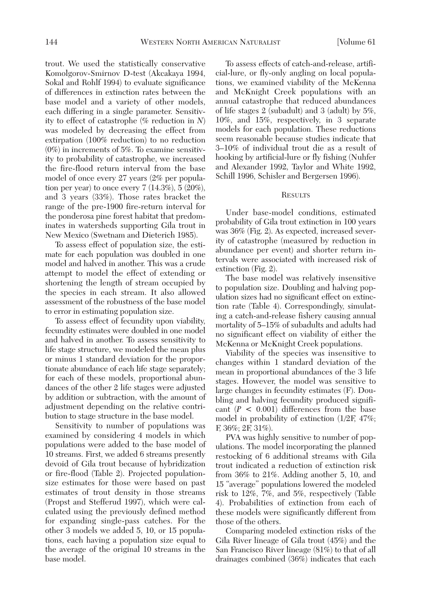trout. We used the statistically conservative Komolgorov-Smirnov D-test (Akcakaya 1994, Sokal and Rohlf 1994) to evaluate significance of differences in extinction rates between the base model and a variety of other models, each differing in a single parameter. Sensitivity to effect of catastrophe (% reduction in *N*) was modeled by decreasing the effect from extirpation (100% reduction) to no reduction (0%) in increments of 5%. To examine sensitivity to probability of catastrophe, we increased the fire-flood return interval from the base model of once every 27 years (2% per population per year) to once every  $7(14.3\%), 5(20\%),$ and 3 years (33%). Those rates bracket the range of the pre-1900 fire-return interval for the ponderosa pine forest habitat that predominates in watersheds supporting Gila trout in New Mexico (Swetnam and Dieterich 1985).

To assess effect of population size, the estimate for each population was doubled in one model and halved in another. This was a crude attempt to model the effect of extending or shortening the length of stream occupied by the species in each stream. It also allowed assessment of the robustness of the base model to error in estimating population size.

To assess effect of fecundity upon viability, fecundity estimates were doubled in one model and halved in another. To assess sensitivity to life stage structure, we modeled the mean plus or minus 1 standard deviation for the proportionate abundance of each life stage separately; for each of these models, proportional abundances of the other 2 life stages were adjusted by addition or subtraction, with the amount of adjustment depending on the relative contribution to stage structure in the base model.

Sensitivity to number of populations was examined by considering 4 models in which populations were added to the base model of 10 streams. First, we added 6 streams presently devoid of Gila trout because of hybridization or fire-flood (Table 2). Projected populationsize estimates for those were based on past estimates of trout density in those streams (Propst and Stefferud 1997), which were calculated using the previously defined method for expanding single-pass catches. For the other 3 models we added 5, 10, or 15 populations, each having a population size equal to the average of the original 10 streams in the base model.

To assess effects of catch-and-release, artificial-lure, or fly-only angling on local populations, we examined viability of the McKenna and McKnight Creek populations with an annual catastrophe that reduced abundances of life stages 2 (subadult) and 3 (adult) by 5%, 10%, and 15%, respectively, in 3 separate models for each population. These reductions seem reasonable because studies indicate that 3–10% of individual trout die as a result of hooking by artificial-lure or fly fishing (Nuhfer and Alexander 1992, Taylor and White 1992, Schill 1996, Schisler and Bergersen 1996).

### **RESULTS**

Under base-model conditions, estimated probability of Gila trout extinction in 100 years was 36% (Fig. 2). As expected, increased severity of catastrophe (measured by reduction in abundance per event) and shorter return intervals were associated with increased risk of extinction (Fig. 2).

The base model was relatively insensitive to population size. Doubling and halving population sizes had no significant effect on extinction rate (Table 4). Correspondingly, simulating a catch-and-release fishery causing annual mortality of 5–15% of subadults and adults had no significant effect on viability of either the McKenna or McKnight Creek populations.

Viability of the species was insensitive to changes within 1 standard deviation of the mean in proportional abundances of the 3 life stages. However, the model was sensitive to large changes in fecundity estimates (F). Doubling and halving fecundity produced significant  $(P < 0.001)$  differences from the base model in probability of extinction (1/2F, 47%; F, 36%; 2F, 31%).

PVA was highly sensitive to number of populations. The model incorporating the planned restocking of 6 additional streams with Gila trout indicated a reduction of extinction risk from 36% to 21%. Adding another 5, 10, and 15 "average" populations lowered the modeled risk to 12%, 7%, and 5%, respectively (Table 4). Probabilities of extinction from each of these models were significantly different from those of the others.

Comparing modeled extinction risks of the Gila River lineage of Gila trout (45%) and the San Francisco River lineage (81%) to that of all drainages combined (36%) indicates that each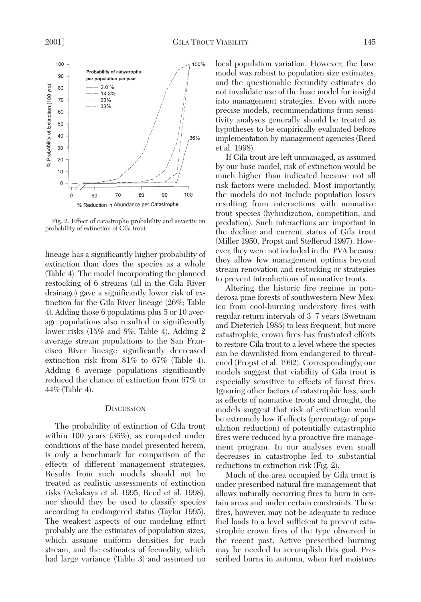

Fig. 2. Effect of catastrophe probability and severity on probability of extinction of Gila trout.

lineage has a significantly higher probability of extinction than does the species as a whole (Table 4). The model incorporating the planned restocking of 6 streams (all in the Gila River drainage) gave a significantly lower risk of extinction for the Gila River lineage (26%; Table 4). Adding those 6 populations plus 5 or 10 average populations also resulted in significantly lower risks (15% and 8%, Table 4). Adding 2 average stream populations to the San Francisco River lineage significantly decreased extinction risk from 81% to 67% (Table 4). Adding 6 average populations significantly reduced the chance of extinction from 67% to 44% (Table 4).

### **DISCUSSION**

The probability of extinction of Gila trout within 100 years (36%), as computed under conditions of the base model presented herein, is only a benchmark for comparison of the effects of different management strategies. Results from such models should not be treated as realistic assessments of extinction risks (Ackakaya et al. 1995, Reed et al. 1998), nor should they be used to classify species according to endangered status (Taylor 1995). The weakest aspects of our modeling effort probably are the estimates of population sizes, which assume uniform densities for each stream, and the estimates of fecundity, which had large variance (Table 3) and assumed no

local population variation. However, the base model was robust to population size estimates, and the questionable fecundity estimates do not invalidate use of the base model for insight into management strategies. Even with more precise models, recommendations from sensitivity analyses generally should be treated as hypotheses to be empirically evaluated before implementation by management agencies (Reed et al. 1998).

If Gila trout are left unmanaged, as assumed by our base model, risk of extinction would be much higher than indicated because not all risk factors were included. Most importantly, the models do not include population losses resulting from interactions with nonnative trout species (hybridization, competition, and predation). Such interactions are important in the decline and current status of Gila trout (Miller 1950, Propst and Stefferud 1997). However, they were not included in the PVA because they allow few management options beyond stream renovation and restocking or strategies to prevent introductions of nonnative trouts.

Altering the historic fire regime in ponderosa pine forests of southwestern New Mexico from cool-burning understory fires with regular return intervals of 3–7 years (Swetnam and Dieterich 1985) to less frequent, but more catastrophic, crown fires has frustrated efforts to restore Gila trout to a level where the species can be downlisted from endangered to threatened (Propst et al. 1992). Correspondingly, our models suggest that viability of Gila trout is especially sensitive to effects of forest fires. Ignoring other factors of catastrophic loss, such as effects of nonnative trouts and drought, the models suggest that risk of extinction would be extremely low if effects (percentage of population reduction) of potentially catastrophic fires were reduced by a proactive fire management program. In our analyses even small decreases in catastrophe led to substantial reductions in extinction risk (Fig. 2).

Much of the area occupied by Gila trout is under prescribed natural fire management that allows naturally occurring fires to burn in certain areas and under certain constraints. These fires, however, may not be adequate to reduce fuel loads to a level sufficient to prevent catastrophic crown fires of the type observed in the recent past. Active prescribed burning may be needed to accomplish this goal. Prescribed burns in autumn, when fuel moisture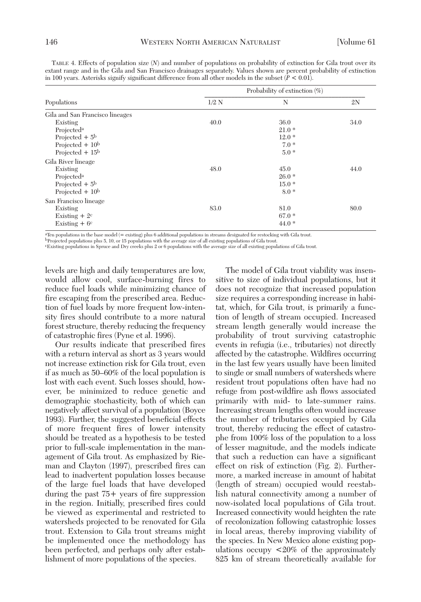| Populations                     | Probability of extinction $(\%)$ |         |      |
|---------------------------------|----------------------------------|---------|------|
|                                 | $1/2$ N                          | N       | 2N   |
| Gila and San Francisco lineages |                                  |         |      |
| Existing                        | 40.0                             | 36.0    | 34.0 |
| Projected <sup>a</sup>          |                                  | $21.0*$ |      |
| Projected $+5b$                 |                                  | $12.0*$ |      |
| Projected $+10b$                |                                  | $7.0*$  |      |
| Projected $+15b$                |                                  | $5.0*$  |      |
| Gila River lineage              |                                  |         |      |
| Existing                        | 48.0                             | 45.0    | 44.0 |
| Projected <sup>a</sup>          |                                  | $26.0*$ |      |
| Projected $+5^{\rm b}$          |                                  | $15.0*$ |      |
| Projected $+10^b$               |                                  | $8.0*$  |      |
| San Francisco lineage           |                                  |         |      |
| Existing                        | 83.0                             | 81.0    | 80.0 |
| Existing $+2^c$                 |                                  | $67.0*$ |      |
| Existing $+6$ <sup>c</sup>      |                                  | $44.0*$ |      |
|                                 |                                  |         |      |

TABLE 4. Effects of population size (*N*) and number of populations on probability of extinction for Gila trout over its extant range and in the Gila and San Francisco drainages separately. Values shown are percent probability of extinction in 100 years. Asterisks signify significant difference from all other models in the subset  $(P < 0.01)$ .

aTen populations in the base model (= existing) plus 6 additional populations in streams designated for restocking with Gila trout.

bProjected populations plus 5, 10, or 15 populations with the average size of all existing populations of Gila trout.

cExisting populations in Spruce and Dry creeks plus 2 or 6 populations with the average size of all existing populations of Gila trout.

levels are high and daily temperatures are low, would allow cool, surface-burning fires to reduce fuel loads while minimizing chance of fire escaping from the prescribed area. Reduction of fuel loads by more frequent low-intensity fires should contribute to a more natural forest structure, thereby reducing the frequency of catastrophic fires (Pyne et al. 1996).

Our results indicate that prescribed fires with a return interval as short as 3 years would not increase extinction risk for Gila trout, even if as much as 50–60% of the local population is lost with each event. Such losses should, however, be minimized to reduce genetic and demographic stochasticity, both of which can negatively affect survival of a population (Boyce 1993). Further, the suggested beneficial effects of more frequent fires of lower intensity should be treated as a hypothesis to be tested prior to full-scale implementation in the management of Gila trout. As emphasized by Rieman and Clayton (1997), prescribed fires can lead to inadvertent population losses because of the large fuel loads that have developed during the past 75+ years of fire suppression in the region. Initially, prescribed fires could be viewed as experimental and restricted to watersheds projected to be renovated for Gila trout. Extension to Gila trout streams might be implemented once the methodology has been perfected, and perhaps only after establishment of more populations of the species.

The model of Gila trout viability was insensitive to size of individual populations, but it does not recognize that increased population size requires a corresponding increase in habitat, which, for Gila trout, is primarily a function of length of stream occupied. Increased stream length generally would increase the probability of trout surviving catastrophic events in refugia (i.e., tributaries) not directly affected by the catastrophe. Wildfires occurring in the last few years usually have been limited to single or small numbers of watersheds where resident trout populations often have had no refuge from post-wildfire ash flows associated primarily with mid- to late-summer rains. Increasing stream lengths often would increase the number of tributaries occupied by Gila trout, thereby reducing the effect of catastrophe from 100% loss of the population to a loss of lesser magnitude, and the models indicate that such a reduction can have a significant effect on risk of extinction (Fig. 2). Furthermore, a marked increase in amount of habitat (length of stream) occupied would reestablish natural connectivity among a number of now-isolated local populations of Gila trout. Increased connectivity would heighten the rate of recolonization following catastrophic losses in local areas, thereby improving viability of the species. In New Mexico alone existing populations occupy <20% of the approximately 825 km of stream theoretically available for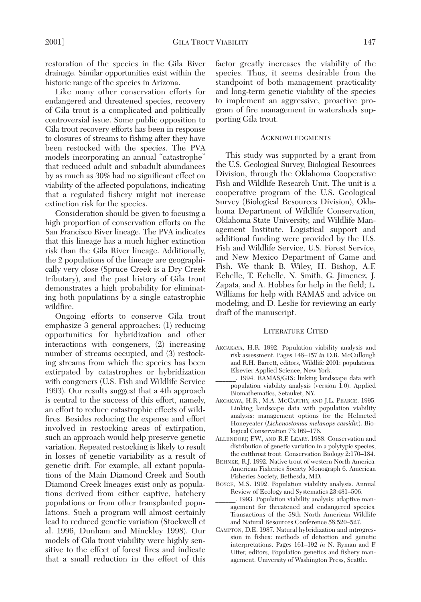restoration of the species in the Gila River drainage. Similar opportunities exist within the historic range of the species in Arizona.

Like many other conservation efforts for endangered and threatened species, recovery of Gila trout is a complicated and politically controversial issue. Some public opposition to Gila trout recovery efforts has been in response to closures of streams to fishing after they have been restocked with the species. The PVA models incorporating an annual "catastrophe" that reduced adult and subadult abundances by as much as 30% had no significant effect on viability of the affected populations, indicating that a regulated fishery might not increase extinction risk for the species.

Consideration should be given to focusing a high proportion of conservation efforts on the San Francisco River lineage. The PVA indicates that this lineage has a much higher extinction risk than the Gila River lineage. Additionally, the 2 populations of the lineage are geographically very close (Spruce Creek is a Dry Creek tributary), and the past history of Gila trout demonstrates a high probability for eliminating both populations by a single catastrophic wildfire.

Ongoing efforts to conserve Gila trout emphasize 3 general approaches: (1) reducing opportunities for hybridization and other interactions with congeners, (2) increasing number of streams occupied, and (3) restocking streams from which the species has been extirpated by catastrophes or hybridization with congeners (U.S. Fish and Wildlife Service 1993). Our results suggest that a 4th approach is central to the success of this effort, namely, an effort to reduce catastrophic effects of wildfires. Besides reducing the expense and effort involved in restocking areas of extirpation, such an approach would help preserve genetic variation. Repeated restocking is likely to result in losses of genetic variability as a result of genetic drift. For example, all extant populations of the Main Diamond Creek and South Diamond Creek lineages exist only as populations derived from either captive, hatchery populations or from other transplanted populations. Such a program will almost certainly lead to reduced genetic variation (Stockwell et al. 1996, Dunham and Minckley 1998). Our models of Gila trout viability were highly sensitive to the effect of forest fires and indicate that a small reduction in the effect of this

factor greatly increases the viability of the species. Thus, it seems desirable from the standpoint of both management practicality and long-term genetic viability of the species to implement an aggressive, proactive program of fire management in watersheds supporting Gila trout.

#### ACKNOWLEDGMENTS

This study was supported by a grant from the U.S. Geological Survey, Biological Resources Division, through the Oklahoma Cooperative Fish and Wildlife Research Unit. The unit is a cooperative program of the U.S. Geological Survey (Biological Resources Division), Oklahoma Department of Wildlife Conservation, Oklahoma State University, and Wildlife Management Institute. Logistical support and additional funding were provided by the U.S. Fish and Wildlife Service, U.S. Forest Service, and New Mexico Department of Game and Fish. We thank B. Wiley, H. Bishop, A.F. Echelle, T. Echelle, N. Smith, G. Jimenez, J. Zapata, and A. Hobbes for help in the field; L. Williams for help with RAMAS and advice on modeling; and D. Leslie for reviewing an early draft of the manuscript.

#### LITERATURE CITED

- AKCAKAYA, H.R. 1992. Population viability analysis and risk assessment. Pages 148–157 *in* D.R. McCullough and R.H. Barrett, editors, Wildlife 2001: populations. Elsevier Applied Science, New York.
- \_\_\_\_\_\_. 1994. RAMAS/GIS: linking landscape data with population viability analysis (version 1.0). Applied Biomathematics, Setauket, NY.
- AKCAKAYA, H.R., M.A. MCCARTHY, AND J.L. PEARCE. 1995. Linking landscape data with population viability analysis: management options for the Helmeted Honeyeater (*Lichenostomus melanops cassidix*). Biological Conservation 73:169–176.
- ALLENDORF, F.W., AND R.F. LEARY. 1988. Conservation and distribution of genetic variation in a polytypic species, the cutthroat trout. Conservation Biology 2:170–184.
- BEHNKE, R.J. 1992. Native trout of western North America. American Fisheries Society Monograph 6. American Fisheries Society, Bethesda, MD.
- BOYCE, M.S. 1992. Population viability analysis. Annual Review of Ecology and Systematics 23:481–506.
- \_\_\_\_\_\_. 1993. Population viability analysis: adaptive management for threatened and endangered species. Transactions of the 58th North American Wildlife and Natural Resources Conference 58:520–527.
- CAMPTON, D.E. 1987. Natural hybridization and introgression in fishes: methods of detection and genetic interpretations. Pages 161–192 *in* N. Ryman and F. Utter, editors, Population genetics and fishery management. University of Washington Press, Seattle.